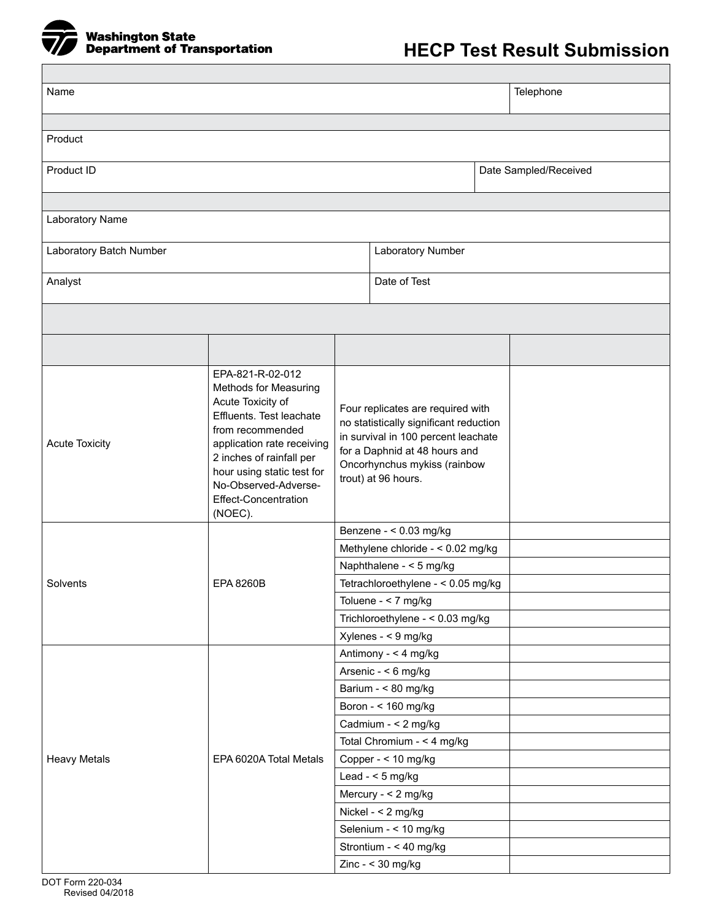

| Name                                         |                                                                                                                                                                                                                                                                          |  |                                                                                                                                                                                                                                                                                                                    |  | Telephone             |
|----------------------------------------------|--------------------------------------------------------------------------------------------------------------------------------------------------------------------------------------------------------------------------------------------------------------------------|--|--------------------------------------------------------------------------------------------------------------------------------------------------------------------------------------------------------------------------------------------------------------------------------------------------------------------|--|-----------------------|
|                                              |                                                                                                                                                                                                                                                                          |  |                                                                                                                                                                                                                                                                                                                    |  |                       |
| Product                                      |                                                                                                                                                                                                                                                                          |  |                                                                                                                                                                                                                                                                                                                    |  |                       |
| Product ID                                   |                                                                                                                                                                                                                                                                          |  |                                                                                                                                                                                                                                                                                                                    |  | Date Sampled/Received |
|                                              |                                                                                                                                                                                                                                                                          |  |                                                                                                                                                                                                                                                                                                                    |  |                       |
| Laboratory Name                              |                                                                                                                                                                                                                                                                          |  |                                                                                                                                                                                                                                                                                                                    |  |                       |
| Laboratory Batch Number<br>Laboratory Number |                                                                                                                                                                                                                                                                          |  |                                                                                                                                                                                                                                                                                                                    |  |                       |
| Analyst                                      |                                                                                                                                                                                                                                                                          |  | Date of Test                                                                                                                                                                                                                                                                                                       |  |                       |
|                                              |                                                                                                                                                                                                                                                                          |  |                                                                                                                                                                                                                                                                                                                    |  |                       |
|                                              |                                                                                                                                                                                                                                                                          |  |                                                                                                                                                                                                                                                                                                                    |  |                       |
| <b>Acute Toxicity</b>                        | EPA-821-R-02-012<br>Methods for Measuring<br>Acute Toxicity of<br>Effluents. Test leachate<br>from recommended<br>application rate receiving<br>2 inches of rainfall per<br>hour using static test for<br>No-Observed-Adverse-<br><b>Effect-Concentration</b><br>(NOEC). |  | Four replicates are required with<br>no statistically significant reduction<br>in survival in 100 percent leachate<br>for a Daphnid at 48 hours and<br>Oncorhynchus mykiss (rainbow<br>trout) at 96 hours.                                                                                                         |  |                       |
| Solvents                                     | <b>EPA 8260B</b>                                                                                                                                                                                                                                                         |  | Benzene - < 0.03 mg/kg<br>Methylene chloride - < 0.02 mg/kg<br>Naphthalene - < 5 mg/kg<br>Tetrachloroethylene - < 0.05 mg/kg<br>Toluene - < 7 mg/kg<br>Trichloroethylene - < 0.03 mg/kg<br>Xylenes - < 9 mg/kg                                                                                                     |  |                       |
| <b>Heavy Metals</b>                          | EPA 6020A Total Metals                                                                                                                                                                                                                                                   |  | Antimony - < 4 mg/kg<br>Arsenic - < 6 mg/kg<br>Barium - < 80 mg/kg<br>Boron - < 160 mg/kg<br>Cadmium - < 2 mg/kg<br>Total Chromium - < 4 mg/kg<br>Copper - < 10 mg/kg<br>Lead - $<$ 5 mg/kg<br>Mercury - < 2 mg/kg<br>Nickel - < 2 mg/kg<br>Selenium - < 10 mg/kg<br>Strontium - < 40 mg/kg<br>Zinc - $<$ 30 mg/kg |  |                       |